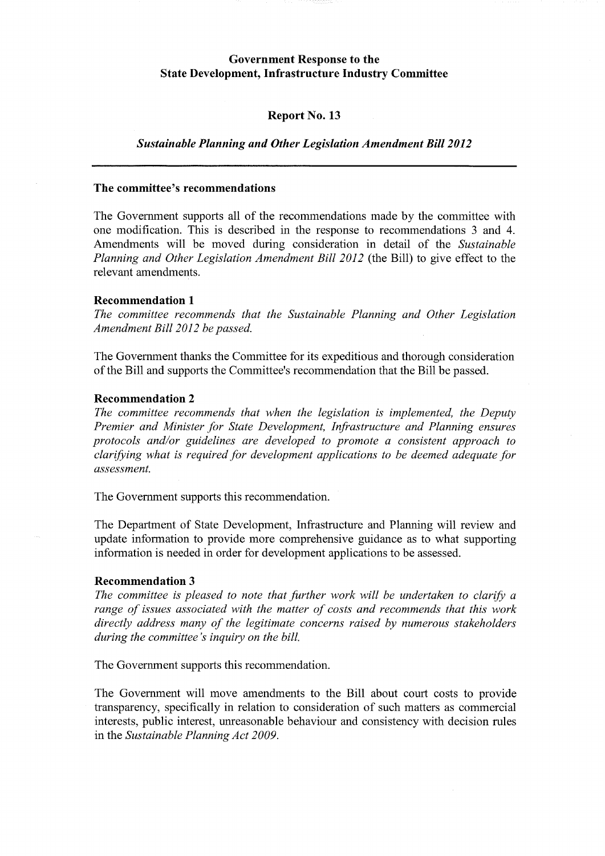# **Government Response to the State Development, Infrastructure Industry Committee**

### **Report No. 13**

### *Sustainable Planning and Other Legislation Amendment Bill 2012*

# **The committee's recommendations**

The Government supports all of the recommendations made by the committee with one modification. This is described in the response to recommendations 3 and 4. Amendments will be moved during consideration in detail of the *Sustainable Planning and Other Legislation Amendment Bill 2012* (the Bill) to give effect to the relevant amendments.

#### **Recommendation 1**

*The committee recommends that the Sustainable Planning and Other Legislation Amendment Bill 2012 be passed.* 

The Government thanks the Committee for its expeditious and thorough consideration of the Bill and supports the Committee's recommendation that the Bill be passed.

# **Recommendation 2**

*The committee recommends that when the legislation is implemented, the Deputy Premier and Minister for State Development, Infrastructure and Planning ensures protocols and/or guidelines are developed to promote a consistent approach to clarifYing what is required for development applications to be deemed adequate for assessment.* 

The Government supports this recommendation.

The Department of State Development, Infrastructure and Planning will review and update information to provide more comprehensive guidance as to what supporting information is needed in order for development applications to be assessed.

#### **Recommendation 3**

The committee is pleased to note that further work will be undertaken to clarify a *range of issues associated with the matter of costs and recommends that this work directly address many of the legitimate concerns raised by numerous stakeholders during the committee's inquiry on the bill.* 

The Government supports this recommendation.

The Government will move amendments to the Bill about court costs to provide transparency, specifically in relation to consideration of such matters as commercial interests, public interest, unreasonable behaviour and consistency with decision rules in the *Sustainable Planning Act 2009.*